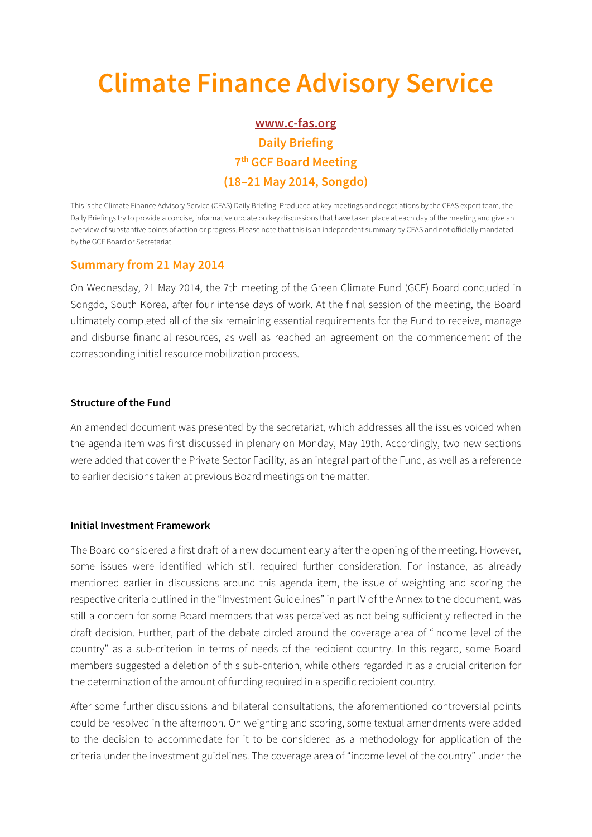# **Climate Finance Advisory Service**

# **www.c-fas.org Daily Briefing 7th GCF Board Meeting (18–21 May 2014, Songdo)**

This is the Climate Finance Advisory Service (CFAS) Daily Briefing. Produced at key meetings and negotiations by the CFAS expert team, the Daily Briefings try to provide a concise, informative update on key discussions that have taken place at each day of the meeting and give an overview of substantive points of action or progress. Please note that this is an independent summary by CFAS and not officially mandated by the GCF Board or Secretariat.

## **Summary from 21 May 2014**

On Wednesday, 21 May 2014, the 7th meeting of the Green Climate Fund (GCF) Board concluded in Songdo, South Korea, after four intense days of work. At the final session of the meeting, the Board ultimately completed all of the six remaining essential requirements for the Fund to receive, manage and disburse financial resources, as well as reached an agreement on the commencement of the corresponding initial resource mobilization process.

#### **Structure of the Fund**

An amended document was presented by the secretariat, which addresses all the issues voiced when the agenda item was first discussed in plenary on Monday, May 19th. Accordingly, two new sections were added that cover the Private Sector Facility, as an integral part of the Fund, as well as a reference to earlier decisions taken at previous Board meetings on the matter.

#### **Initial Investment Framework**

The Board considered a first draft of a new document early after the opening of the meeting. However, some issues were identified which still required further consideration. For instance, as already mentioned earlier in discussions around this agenda item, the issue of weighting and scoring the respective criteria outlined in the "Investment Guidelines" in part IV of the Annex to the document, was still a concern for some Board members that was perceived as not being sufficiently reflected in the draft decision. Further, part of the debate circled around the coverage area of "income level of the country" as a sub-criterion in terms of needs of the recipient country. In this regard, some Board members suggested a deletion of this sub-criterion, while others regarded it as a crucial criterion for the determination of the amount of funding required in a specific recipient country.

After some further discussions and bilateral consultations, the aforementioned controversial points could be resolved in the afternoon. On weighting and scoring, some textual amendments were added to the decision to accommodate for it to be considered as a methodology for application of the criteria under the investment guidelines. The coverage area of "income level of the country" under the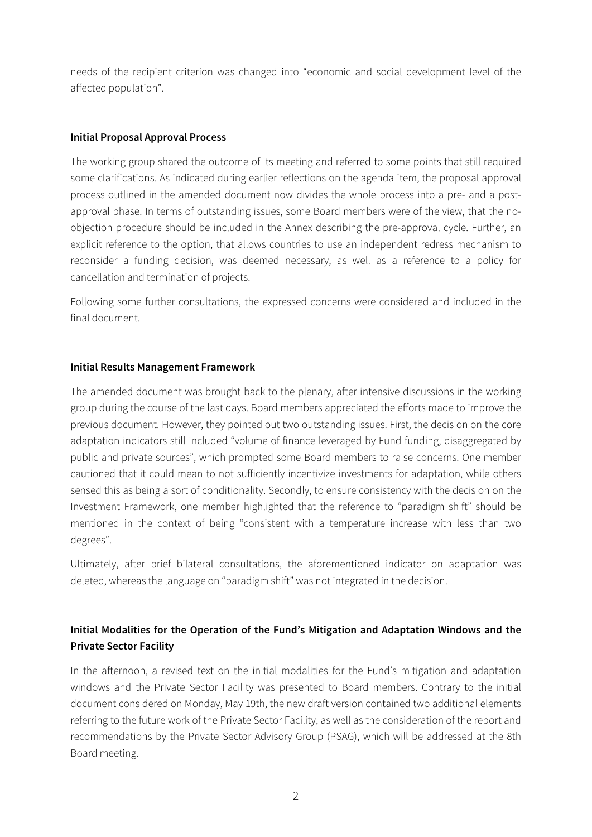needs of the recipient criterion was changed into "economic and social development level of the affected population".

#### **Initial Proposal Approval Process**

The working group shared the outcome of its meeting and referred to some points that still required some clarifications. As indicated during earlier reflections on the agenda item, the proposal approval process outlined in the amended document now divides the whole process into a pre- and a postapproval phase. In terms of outstanding issues, some Board members were of the view, that the noobjection procedure should be included in the Annex describing the pre-approval cycle. Further, an explicit reference to the option, that allows countries to use an independent redress mechanism to reconsider a funding decision, was deemed necessary, as well as a reference to a policy for cancellation and termination of projects.

Following some further consultations, the expressed concerns were considered and included in the final document.

#### **Initial Results Management Framework**

The amended document was brought back to the plenary, after intensive discussions in the working group during the course of the last days. Board members appreciated the efforts made to improve the previous document. However, they pointed out two outstanding issues. First, the decision on the core adaptation indicators still included "volume of finance leveraged by Fund funding, disaggregated by public and private sources", which prompted some Board members to raise concerns. One member cautioned that it could mean to not sufficiently incentivize investments for adaptation, while others sensed this as being a sort of conditionality. Secondly, to ensure consistency with the decision on the Investment Framework, one member highlighted that the reference to "paradigm shift" should be mentioned in the context of being "consistent with a temperature increase with less than two degrees".

Ultimately, after brief bilateral consultations, the aforementioned indicator on adaptation was deleted, whereas the language on "paradigm shift" was not integrated in the decision.

## **Initial Modalities for the Operation of the Fund's Mitigation and Adaptation Windows and the Private Sector Facility**

In the afternoon, a revised text on the initial modalities for the Fund's mitigation and adaptation windows and the Private Sector Facility was presented to Board members. Contrary to the initial document considered on Monday, May 19th, the new draft version contained two additional elements referring to the future work of the Private Sector Facility, as well as the consideration of the report and recommendations by the Private Sector Advisory Group (PSAG), which will be addressed at the 8th Board meeting.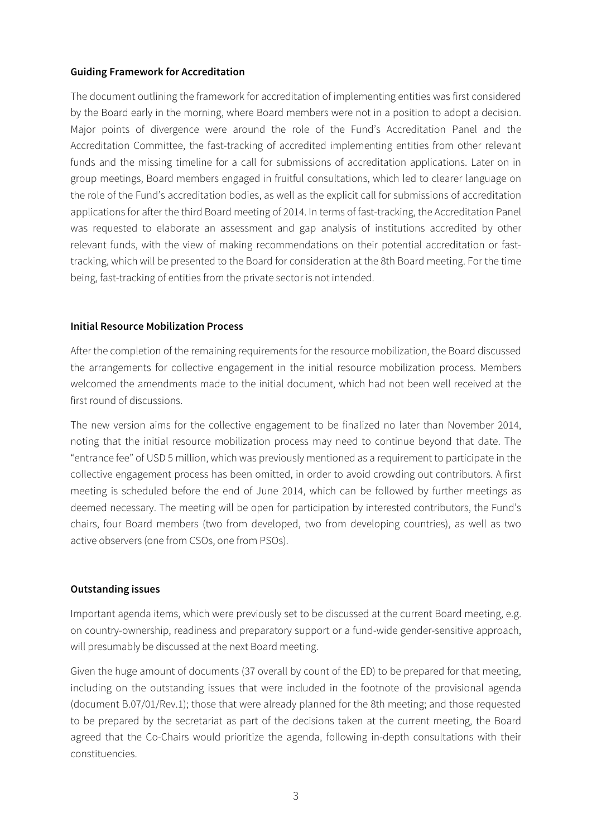#### **Guiding Framework for Accreditation**

The document outlining the framework for accreditation of implementing entities was first considered by the Board early in the morning, where Board members were not in a position to adopt a decision. Major points of divergence were around the role of the Fund's Accreditation Panel and the Accreditation Committee, the fast-tracking of accredited implementing entities from other relevant funds and the missing timeline for a call for submissions of accreditation applications. Later on in group meetings, Board members engaged in fruitful consultations, which led to clearer language on the role of the Fund's accreditation bodies, as well as the explicit call for submissions of accreditation applications for after the third Board meeting of 2014. In terms of fast-tracking, the Accreditation Panel was requested to elaborate an assessment and gap analysis of institutions accredited by other relevant funds, with the view of making recommendations on their potential accreditation or fasttracking, which will be presented to the Board for consideration at the 8th Board meeting. For the time being, fast-tracking of entities from the private sector is not intended.

#### **Initial Resource Mobilization Process**

After the completion of the remaining requirements for the resource mobilization, the Board discussed the arrangements for collective engagement in the initial resource mobilization process. Members welcomed the amendments made to the initial document, which had not been well received at the first round of discussions.

The new version aims for the collective engagement to be finalized no later than November 2014, noting that the initial resource mobilization process may need to continue beyond that date. The "entrance fee" of USD 5 million, which was previously mentioned as a requirement to participate in the collective engagement process has been omitted, in order to avoid crowding out contributors. A first meeting is scheduled before the end of June 2014, which can be followed by further meetings as deemed necessary. The meeting will be open for participation by interested contributors, the Fund's chairs, four Board members (two from developed, two from developing countries), as well as two active observers (one from CSOs, one from PSOs).

#### **Outstanding issues**

Important agenda items, which were previously set to be discussed at the current Board meeting, e.g. on country-ownership, readiness and preparatory support or a fund-wide gender-sensitive approach, will presumably be discussed at the next Board meeting.

Given the huge amount of documents (37 overall by count of the ED) to be prepared for that meeting, including on the outstanding issues that were included in the footnote of the provisional agenda (document B.07/01/Rev.1); those that were already planned for the 8th meeting; and those requested to be prepared by the secretariat as part of the decisions taken at the current meeting, the Board agreed that the Co-Chairs would prioritize the agenda, following in-depth consultations with their constituencies.